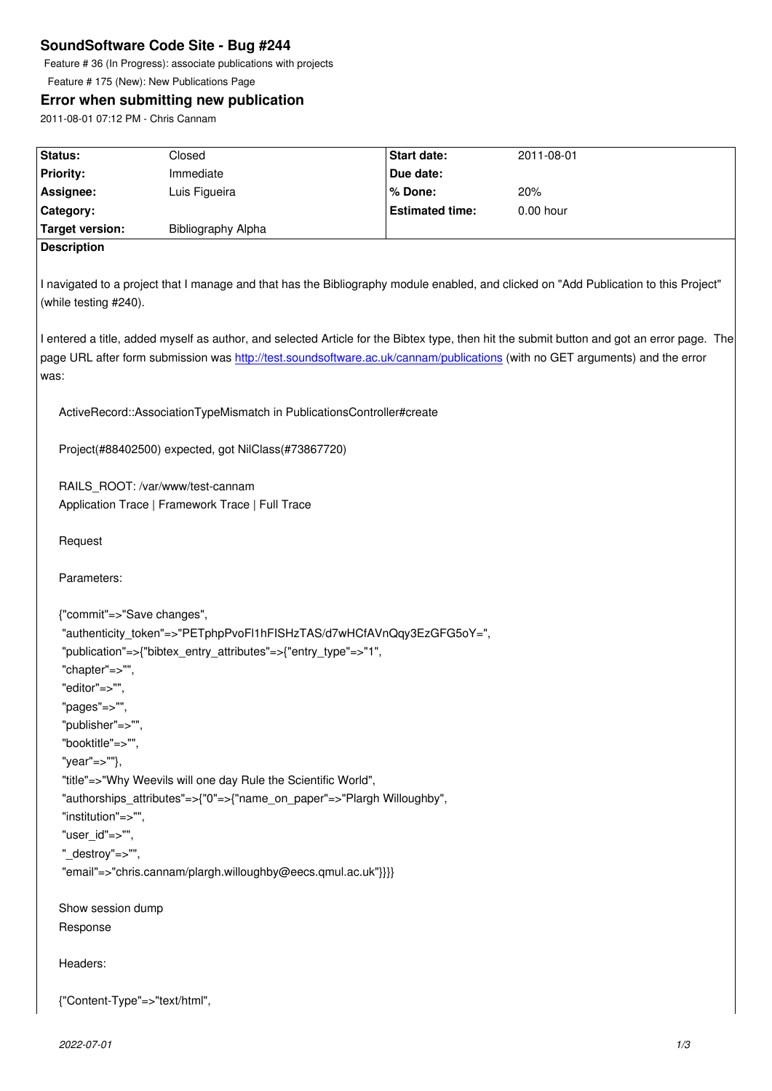Feature # 36 (In Progress): associate publications with projects

Feature # 175 (New): New Publications Page

# **Error when submitting new publication**

2011-08-01 07:12 PM - Chris Cannam

| Status:                       | Closed                                                                               | <b>Start date:</b>                                                    | 2011-08-01                                                                                                                                                                                                                                                                 |
|-------------------------------|--------------------------------------------------------------------------------------|-----------------------------------------------------------------------|----------------------------------------------------------------------------------------------------------------------------------------------------------------------------------------------------------------------------------------------------------------------------|
| <b>Priority:</b>              | Immediate                                                                            | Due date:                                                             |                                                                                                                                                                                                                                                                            |
| Assignee:                     | Luis Figueira                                                                        | % Done:                                                               | 20%                                                                                                                                                                                                                                                                        |
| Category:                     |                                                                                      | <b>Estimated time:</b>                                                | 0.00 hour                                                                                                                                                                                                                                                                  |
| <b>Target version:</b>        | Bibliography Alpha                                                                   |                                                                       |                                                                                                                                                                                                                                                                            |
| <b>Description</b>            |                                                                                      |                                                                       |                                                                                                                                                                                                                                                                            |
|                               |                                                                                      |                                                                       |                                                                                                                                                                                                                                                                            |
| (while testing #240).         |                                                                                      |                                                                       | I navigated to a project that I manage and that has the Bibliography module enabled, and clicked on "Add Publication to this Project"                                                                                                                                      |
| was:                          |                                                                                      |                                                                       | I entered a title, added myself as author, and selected Article for the Bibtex type, then hit the submit button and got an error page. The<br>page URL after form submission was http://test.soundsoftware.ac.uk/cannam/publications (with no GET arguments) and the error |
|                               | ActiveRecord::AssociationTypeMismatch in PublicationsController#create               |                                                                       |                                                                                                                                                                                                                                                                            |
|                               | Project(#88402500) expected, got NilClass(#73867720)                                 |                                                                       |                                                                                                                                                                                                                                                                            |
|                               | RAILS_ROOT: /var/www/test-cannam<br>Application Trace   Framework Trace   Full Trace |                                                                       |                                                                                                                                                                                                                                                                            |
| Request                       |                                                                                      |                                                                       |                                                                                                                                                                                                                                                                            |
| Parameters:                   |                                                                                      |                                                                       |                                                                                                                                                                                                                                                                            |
| {"commit"=>"Save changes",    |                                                                                      |                                                                       |                                                                                                                                                                                                                                                                            |
|                               |                                                                                      | "authenticity_token"=>"PETphpPvoFl1hFISHzTAS/d7wHCfAVnQqy3EzGFG5oY=", |                                                                                                                                                                                                                                                                            |
|                               | "publication"=>{"bibtex_entry_attributes"=>{"entry_type"=>"1",                       |                                                                       |                                                                                                                                                                                                                                                                            |
| "chapter"=>"",                |                                                                                      |                                                                       |                                                                                                                                                                                                                                                                            |
| "editor"=>"",                 |                                                                                      |                                                                       |                                                                                                                                                                                                                                                                            |
| "pages"=>"",                  |                                                                                      |                                                                       |                                                                                                                                                                                                                                                                            |
| "publisher"=>"",              |                                                                                      |                                                                       |                                                                                                                                                                                                                                                                            |
| "booktitle"=>"",              |                                                                                      |                                                                       |                                                                                                                                                                                                                                                                            |
| "year"=>""},                  |                                                                                      |                                                                       |                                                                                                                                                                                                                                                                            |
|                               | "title"=>"Why Weevils will one day Rule the Scientific World",                       |                                                                       |                                                                                                                                                                                                                                                                            |
|                               | "authorships_attributes"=>{"0"=>{"name_on_paper"=>"Plargh Willoughby",               |                                                                       |                                                                                                                                                                                                                                                                            |
| "institution"=>"",            |                                                                                      |                                                                       |                                                                                                                                                                                                                                                                            |
| "user_id"=>"",                |                                                                                      |                                                                       |                                                                                                                                                                                                                                                                            |
| "_destroy"=>"",               |                                                                                      |                                                                       |                                                                                                                                                                                                                                                                            |
|                               | "email"=>"chris.cannam/plargh.willoughby@eecs.qmul.ac.uk"}}}                         |                                                                       |                                                                                                                                                                                                                                                                            |
| Show session dump             |                                                                                      |                                                                       |                                                                                                                                                                                                                                                                            |
| Response                      |                                                                                      |                                                                       |                                                                                                                                                                                                                                                                            |
| Headers:                      |                                                                                      |                                                                       |                                                                                                                                                                                                                                                                            |
| {"Content-Type"=>"text/html", |                                                                                      |                                                                       |                                                                                                                                                                                                                                                                            |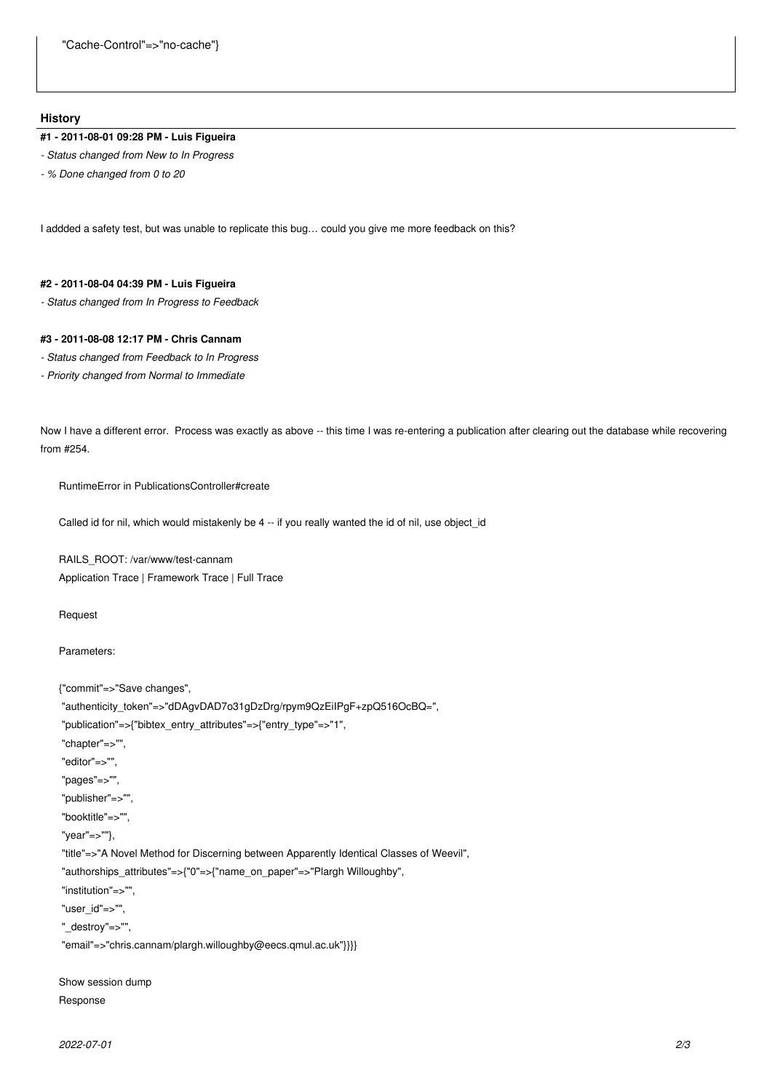#### **History**

## **#1 - 2011-08-01 09:28 PM - Luis Figueira**

- *Status changed from New to In Progress*
- *% Done changed from 0 to 20*

I addded a safety test, but was unable to replicate this bug… could you give me more feedback on this?

#### **#2 - 2011-08-04 04:39 PM - Luis Figueira**

*- Status changed from In Progress to Feedback*

## **#3 - 2011-08-08 12:17 PM - Chris Cannam**

- *Status changed from Feedback to In Progress*
- *Priority changed from Normal to Immediate*

Now I have a different error. Process was exactly as above -- this time I was re-entering a publication after clearing out the database while recovering from #254.

RuntimeError in PublicationsController#create

Called id for nil, which would mistakenly be 4 -- if you really wanted the id of nil, use object\_id

RAILS\_ROOT: /var/www/test-cannam Application Trace | Framework Trace | Full Trace

Request

Parameters:

```
{"commit"=>"Save changes",
```

```
 "authenticity_token"=>"dDAgvDAD7o31gDzDrg/rpym9QzEiIPgF+zpQ516OcBQ=",
"publication"=>{"bibtex_entry_attributes"=>{"entry_type"=>"1",
"chapter"=>"",
"editor"=>"",
"pages"=>"",
"publisher"=>"",
"booktitle"=>"",
"year"=>""},
"title"=>"A Novel Method for Discerning between Apparently Identical Classes of Weevil",
"authorships_attributes"=>{"0"=>{"name_on_paper"=>"Plargh Willoughby",
"institution"=>"",
"user_id"=>"",
"_destroy"=>"",
"email"=>"chris.cannam/plargh.willoughby@eecs.qmul.ac.uk"}}}}
```
Show session dump Response